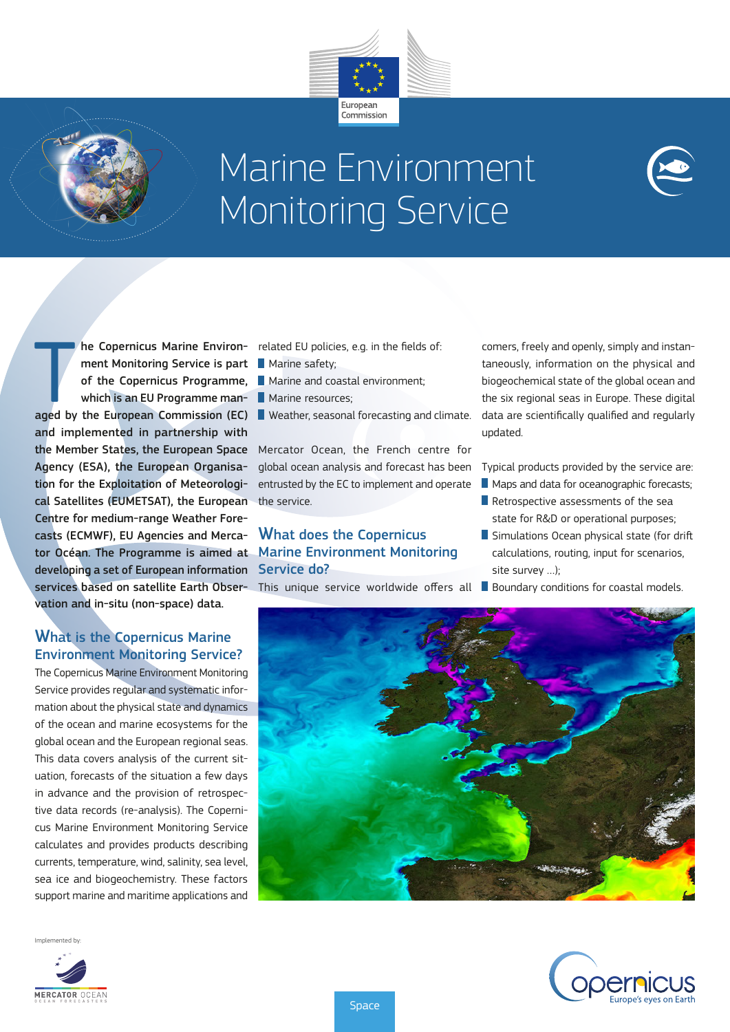



# Marine Environment Monitoring Service

Weather, seasonal forecasting and climate.

global ocean analysis and forecast has been entrusted by the EC to implement and operate

**Marine resources;** 

the service.



## What is the Copernicus Marine Environment Monitoring Service?

The Copernicus Marine Environment Monitoring Service provides regular and systematic information about the physical state and dynamics of the ocean and marine ecosystems for the global ocean and the European regional seas. This data covers analysis of the current situation, forecasts of the situation a few days in advance and the provision of retrospective data records (re-analysis). The Copernicus Marine Environment Monitoring Service calculates and provides products describing currents, temperature, wind, salinity, sea level, sea ice and biogeochemistry. These factors support marine and maritime applications and

Implemented by:



comers, freely and openly, simply and instantaneously, information on the physical and biogeochemical state of the global ocean and the six regional seas in Europe. These digital

updated.

Typical products provided by the service are:

data are scientifically qualified and regularly

- **Maps and data for oceanographic forecasts;**
- Retrospective assessments of the sea state for R&D or operational purposes;
- Simulations Ocean physical state (for drift) calculations, routing, input for scenarios, site survey …);
	-